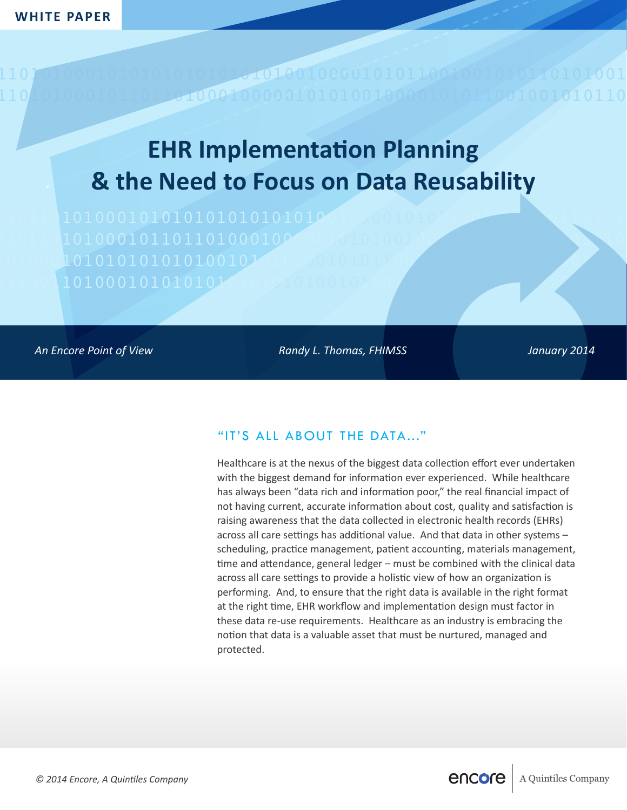$\bf 1101$ 0 $\bf 10000101010101010$ 10 $\bf 1010$ 100 $\bf 100001010110010010101010$ 10 $\bf 1001$  $\bf 110$ 1010001011011<del>0100010</del>0000101010010000101011001001010110 01010001011010100010101010101010101001000010101100100101011010100101

# **EHR Implementation Planning & the Need to Focus on Data Reusability**

01010001011010100010101010101010101001000010101100100101011010100101 01010001011010100010110110100010000010101001000010101100100101011010 010110101000101010101010100101010100101011001001010110101001011001010

*An Encore Point of View*

*Randy L. Thomas, FHIMSS January 2014*

010001011001101000101010101010101010010100101011010100101000010101100

## "IT'S ALL ABOUT THE DATA..."

Healthcare is at the nexus of the biggest data collection effort ever undertaken with the biggest demand for information ever experienced. While healthcare has always been "data rich and information poor," the real financial impact of not having current, accurate information about cost, quality and satisfaction is raising awareness that the data collected in electronic health records (EHRs) across all care settings has additional value. And that data in other systems – scheduling, practice management, patient accounting, materials management, time and attendance, general ledger – must be combined with the clinical data across all care settings to provide a holistic view of how an organization is performing. And, to ensure that the right data is available in the right format at the right time, EHR workflow and implementation design must factor in these data re-use requirements. Healthcare as an industry is embracing the notion that data is a valuable asset that must be nurtured, managed and protected.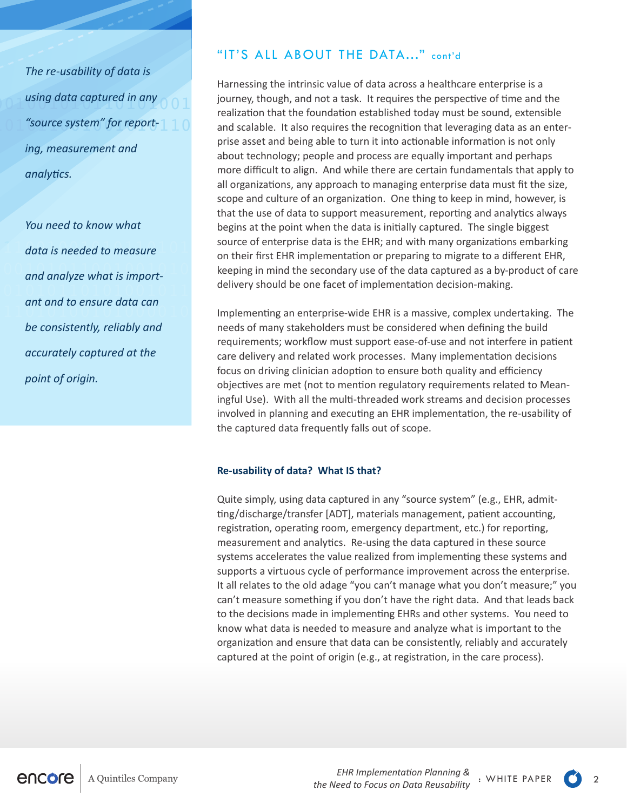01010001011010100010101010101010101001000010101100100101011010100101  $\bigcirc$  1  $\,$  "source system" for report- $\bigl\lrcorner$   $\bigl\lrcorner$ *The re-usability of data is using data captured in any ing, measurement and analytics.*

 $\overline{0}$  $\overline{a}$  $\frac{1}{\sqrt{2}}$  data is needed to measure and analyze what is import-010110101000101010101010100101010100101011001001010110101001011001010 010001011001101000101010101010101010010100101011010100101000010101100 *You need to know what data is needed to measure and analyze what is important and to ensure data can be consistently, reliably and accurately captured at the point of origin.*

# "IT'S ALL ABOUT THE DATA..." cont'd

Harnessing the intrinsic value of data across a healthcare enterprise is a  $\frac{p}{q}$  any  $\frac{p}{q}$  journey, though, and not a task. It requires the perspective of time and the realization that the foundation established today must be sound extensible realization that the foundation established today must be sound, extensible port  $110$  and scalable. It also requires the recognition that leveraging data as an enterprise asset and being able to turn it into actionable information is not only about technology; people and process are equally important and perhaps more difficult to align. And while there are certain fundamentals that apply to all organizations, any approach to managing enterprise data must fit the size, scope and culture of an organization. One thing to keep in mind, however, is that the use of data to support measurement, reporting and analytics always begins at the point when the data is initially captured. The single biggest source of enterprise data is the EHR; and with many organizations embarking 01010001011010100010101010101010101001000010101100100101011010100101 on their first EHR implementation or preparing to migrate to a different EHR, keeping in mind the secondary use of the data captured as a by-product of care 01010001011010100010110110100010000010101001000010101100100101011010 delivery should be one facet of implementation decision-making.

Implementing an enterprise-wide EHR is a massive, complex undertaking. The 010001011001101000101010101010101010010100101011010100101000010101100 needs of many stakeholders must be considered when defining the build requirements; workflow must support ease-of-use and not interfere in patient care delivery and related work processes. Many implementation decisions focus on driving clinician adoption to ensure both quality and efficiency objectives are met (not to mention regulatory requirements related to Meaningful Use). With all the multi-threaded work streams and decision processes involved in planning and executing an EHR implementation, the re-usability of the captured data frequently falls out of scope.

### **Re-usability of data? What IS that?**

Quite simply, using data captured in any "source system" (e.g., EHR, admitting/discharge/transfer [ADT], materials management, patient accounting, registration, operating room, emergency department, etc.) for reporting, measurement and analytics. Re-using the data captured in these source systems accelerates the value realized from implementing these systems and supports a virtuous cycle of performance improvement across the enterprise. It all relates to the old adage "you can't manage what you don't measure;" you can't measure something if you don't have the right data. And that leads back to the decisions made in implementing EHRs and other systems. You need to know what data is needed to measure and analyze what is important to the organization and ensure that data can be consistently, reliably and accurately captured at the point of origin (e.g., at registration, in the care process).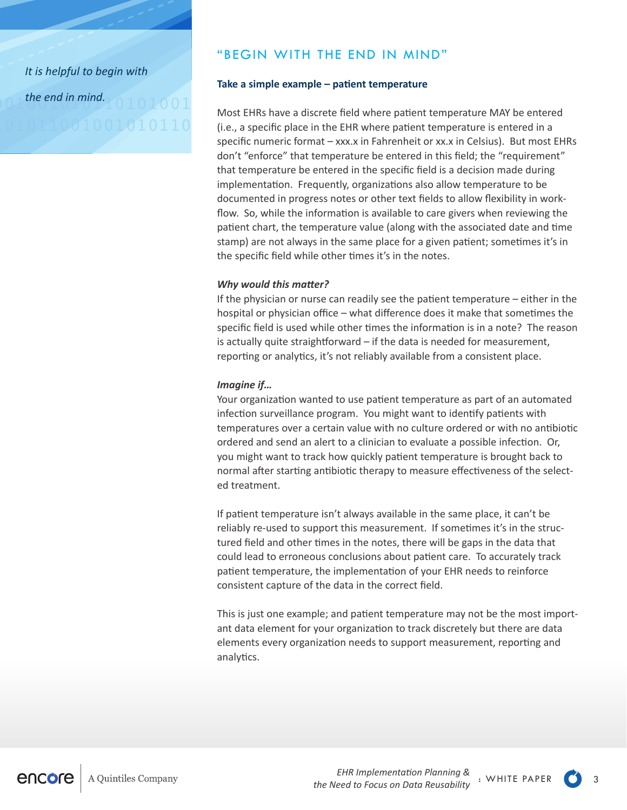001 the end in mind.  $10101001$  $0.01011001001010101$ *It is helpful to begin with the end in mind.*

# "BEGIN WITH THE END IN MIND"

### **Take a simple example – patient temperature**

101001<br>Most EHRs have a discrete field where patient temperature MAY be entered  $010110$  (i.e., a specific place in the EHR where patient temperature is entered in a specific numeric format – xxx.x in Fahrenheit or xx.x in Celsius). But most EHRs don't "enforce" that temperature be entered in this field; the "requirement" that temperature be entered in the specific field is a decision made during implementation. Frequently, organizations also allow temperature to be documented in progress notes or other text fields to allow flexibility in workflow. So, while the information is available to care givers when reviewing the patient chart, the temperature value (along with the associated date and time stamp) are not always in the same place for a given patient; sometimes it's in<br>the specific field while other times it's in the notes the specific field while other times it's in the notes. 01010001011010100010110110100010000010101001000010101100100101011010 01010001011010100010101010101010101001000010101100100101011010100101 01010001011010100010110110100010000010101001000010101100100101011010

#### *Why would this matter?*  $W$ hy wo $01$

**Why would this matter?**<br>If the physician or nurse can readily see the patient temperature – either in the hospital or physician office  $-$  what difference does it make that sometimes the specific field is used while other times the information is in a note? The reason is actually quite straightforward – if the data is needed for measurement, reporting or analytics, it's not reliably available from a consistent place. 010001011001101000101010101010101010010100101011010100101000010101100

#### *Imagine if…*

Your organization wanted to use patient temperature as part of an automated infection surveillance program. You might want to identify patients with temperatures over a certain value with no culture ordered or with no antibiotic ordered and send an alert to a clinician to evaluate a possible infection. Or, you might want to track how quickly patient temperature is brought back to normal after starting antibiotic therapy to measure effectiveness of the selected treatment.

If patient temperature isn't always available in the same place, it can't be reliably re-used to support this measurement. If sometimes it's in the structured field and other times in the notes, there will be gaps in the data that could lead to erroneous conclusions about patient care. To accurately track patient temperature, the implementation of your EHR needs to reinforce consistent capture of the data in the correct field.

This is just one example; and patient temperature may not be the most important data element for your organization to track discretely but there are data elements every organization needs to support measurement, reporting and analytics.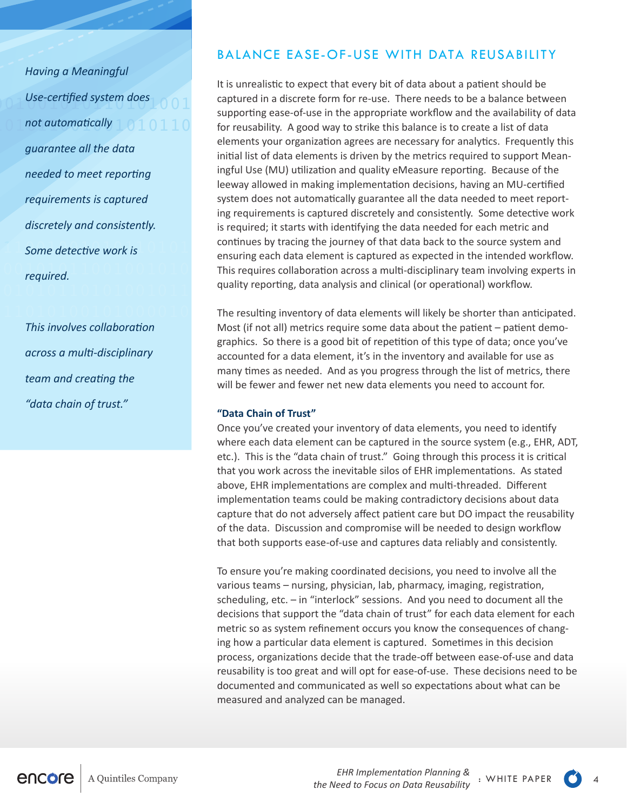$0.0010$  Use-certified system does  $0.01$  $\sqrt{01}$ not automatically $\sqrt{010110}$ 01010001011010100010101010101010101001000010101100100101011010100101 01010001011010100010110110100010000010101001000010101100100101011010 *Having a Meaningful Use-certified system does not automatically guarantee all the data needed to meet reporting requirements is captured discretely and consistently. Some detective work is required.*

> *This involves collaboration across a multi-disciplinary team and creating the "data chain of trust."*

# BALANCE EASE-OF-USE WITH DATA REUSABILITY

It is unrealistic to expect that every bit of data about a patient should be  $\frac{does}{10001}$  captured in a discrete form for re-use. There needs to be a balance between summerting ease-of-use in the appropriate workflow and the availability of data supporting ease-of-use in the appropriate workflow and the availability of data  $\overline{010110}$  for reusability. A good way to strike this balance is to create a list of data elements your organization agrees are necessary for analytics. Frequently this initial list of data elements is driven by the metrics required to support Meaningful Use (MU) utilization and quality eMeasure reporting. Because of the leeway allowed in making implementation decisions, having an MU-certified system does not automatically guarantee all the data needed to meet reporting requirements is captured discretely and consistently. Some detective work is required; it starts with identifying the data needed for each metric and continues by tracing the journey of that data back to the source system and continues by tracing the journey of that data back to the source system and<br>ensuring each data element is captured as expected in the intended workflow. **010** This requires collaboration across a multi-disciplinary team involving experts in quality reporting, data analysis and clinical (or operational) workflow. 01010110101001011 quality re

 $\overline{010}$  The resulting inventory of data elements will likely be shorter than anticipated. Most (if not all) metrics require some data about the patient – patient demographics. So there is a good bit of repetition of this type of data; once you've accounted for a data element, it's in the inventory and available for use as many times as needed. And as you progress through the list of metrics, there will be fewer and fewer net new data elements you need to account for.  $01001010101000010$ 

### **"Data Chain of Trust"**

Once you've created your inventory of data elements, you need to identify where each data element can be captured in the source system (e.g., EHR, ADT, etc.). This is the "data chain of trust." Going through this process it is critical that you work across the inevitable silos of EHR implementations. As stated above, EHR implementations are complex and multi-threaded. Different implementation teams could be making contradictory decisions about data capture that do not adversely affect patient care but DO impact the reusability of the data. Discussion and compromise will be needed to design workflow that both supports ease-of-use and captures data reliably and consistently.

To ensure you're making coordinated decisions, you need to involve all the various teams – nursing, physician, lab, pharmacy, imaging, registration, scheduling, etc. – in "interlock" sessions. And you need to document all the decisions that support the "data chain of trust" for each data element for each metric so as system refinement occurs you know the consequences of changing how a particular data element is captured. Sometimes in this decision process, organizations decide that the trade-off between ease-of-use and data reusability is too great and will opt for ease-of-use. These decisions need to be documented and communicated as well so expectations about what can be measured and analyzed can be managed.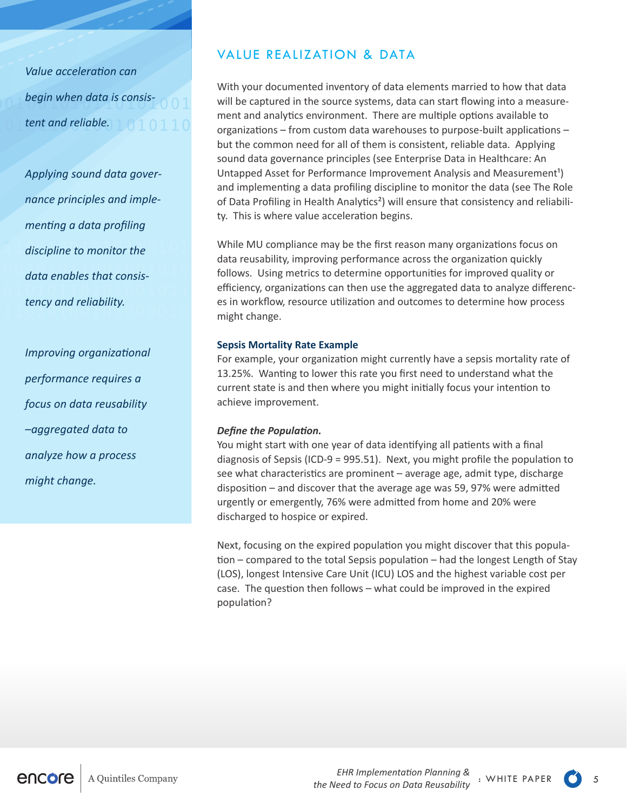$\log$  begin when data is consis-  $\sim$  0  $1$  $\hbox{\texttt{0}}$  tent and reliable.  $\hbox{\texttt{1}}010110$ *Value acceleration can begin when data is consistent and reliable.*

01010001011010100010101010101010101001000010101100100101011010100101 data enables that consis-<br>follow  $\frac{1}{\sqrt{2}}$  efficiency  $10<sub>10</sub>$   $10<sub>10</sub>$   $10<sub>10</sub>$   $10<sub>10</sub>$   $10<sub>10</sub>$   $10<sub>10</sub>$   $10<sub>10</sub>$ *Applying sound data governance principles and implementing a data profiling discipline to monitor the data enables that consistency and reliability.*

> *Improving organizational performance requires a focus on data reusability –aggregated data to analyze how a process might change.*

# VALUE REALIZATION & DATA

 $\frac{1895}{10001}$  will be captured in the source systems, data can start flowing into a measure-10110 organizations – from custom data warehouses to purpose-built applications – With your documented inventory of data elements married to how that data ment and analytics environment. There are multiple options available to but the common need for all of them is consistent, reliable data. Applying sound data governance principles (see Enterprise Data in Healthcare: An Untapped Asset for Performance Improvement Analysis and Measurement<sup>1</sup>) and implementing a data profiling discipline to monitor the data (see The Role of Data Profiling in Health Analytics<sup>2</sup>) will ensure that consistency and reliability. This is where value acceleration begins.

01010001011010100010101010101010101001000010101100100101011010100101 While MU compliance may be the first reason many organizations focus on data reasonity, improving performance across the organization quickly<br>follows. Using metrics to determine opportunities for improved quality or efficiency, organizations can then use the aggregated data to analyze differenc-<br>existency of the aggregated data to analyze differenc-010001011001101000101010101010101010010100101011010100101000010101100 data reusability, improving performance across the organization quickly es in workflow, resource utilization and outcomes to determine how process might change.

### **Sepsis Mortality Rate Example**

For example, your organization might currently have a sepsis mortality rate of 13.25%. Wanting to lower this rate you first need to understand what the current state is and then where you might initially focus your intention to achieve improvement.

### *Define the Population.*

You might start with one year of data identifying all patients with a final diagnosis of Sepsis (ICD-9 = 995.51). Next, you might profile the population to see what characteristics are prominent – average age, admit type, discharge disposition – and discover that the average age was 59, 97% were admitted urgently or emergently, 76% were admitted from home and 20% were discharged to hospice or expired.

Next, focusing on the expired population you might discover that this population – compared to the total Sepsis population – had the longest Length of Stay (LOS), longest Intensive Care Unit (ICU) LOS and the highest variable cost per case. The question then follows – what could be improved in the expired population?

*EHR Implementation Planning & the Need to Focus on Data Reusability* : WHITE PAPER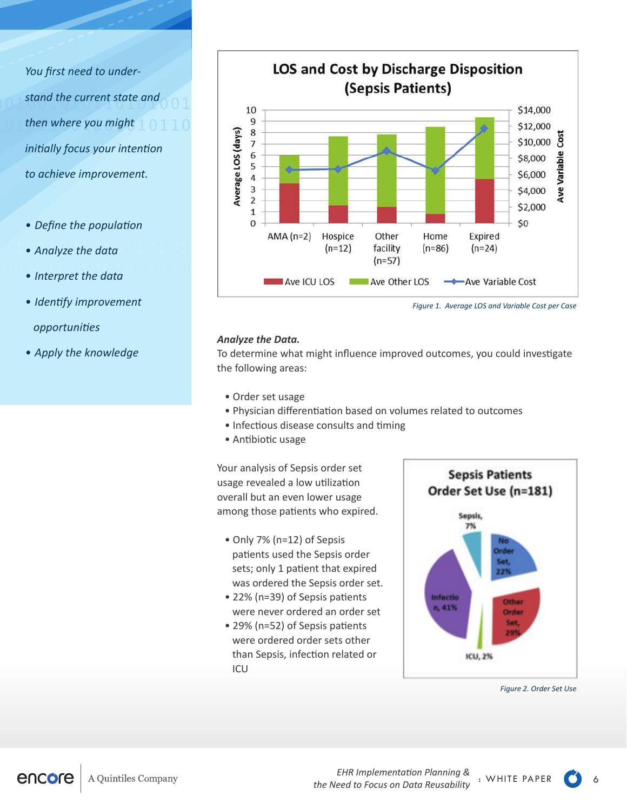on stand the current state and  $\frac{1}{0}01$  $\odot$  1 then where you might  $1\,0\,1\,1\,0$ *You first need to understand the current state and then where you might initially focus your intention to achieve improvement.*

- *Define the population*
- **1 Analyze the data**  $\begin{bmatrix} 1 & 0 & 1 & 0 \end{bmatrix}$ *• Analyze the data*
- $\bullet$  Interpret the data *• Interpret the data*
- $\frac{1}{2}$ *• Identify improvement opportunities*
	- *Apply the knowledge*



<sup>010001011001101000101010101010101010010100101011010100101000010101100</sup> *Figure 1. Average LOS and Variable Cost per Case*

### *Analyze the Data.*

To determine what might influence improved outcomes, you could investigate the following areas:

- Order set usage
- Physician differentiation based on volumes related to outcomes
- Infectious disease consults and timing
- Antibiotic usage

Your analysis of Sepsis order set usage revealed a low utilization overall but an even lower usage among those patients who expired.

- Only 7% (n=12) of Sepsis patients used the Sepsis order sets; only 1 patient that expired was ordered the Sepsis order set.
- 22% (n=39) of Sepsis patients were never ordered an order set
- 29% (n=52) of Sepsis patients were ordered order sets other than Sepsis, infection related or ICU



*Figure 2. Order Set Use*

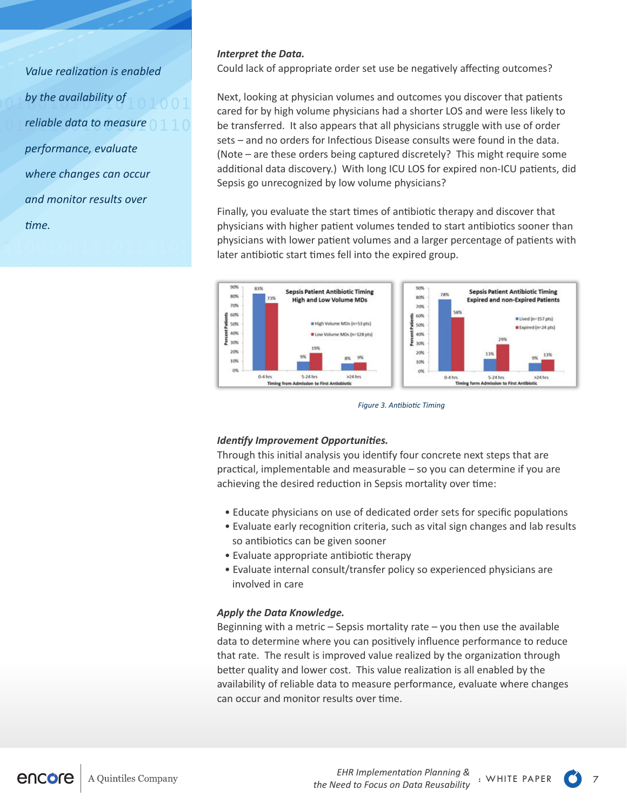$0$  1 <sup>by the availability of  $101001$ </sup>  $\hbox{\large\it o}$  1 reliable data to measure  $\hbox{\large\it o}$   $1$   $\hbox{\large\it 1}$   $\hbox{\large\it 0}$ *Value realization is enabled by the availability of reliable data to measure performance, evaluate where changes can occur and monitor results over time.*

### *Interpret the Data.*

Could lack of appropriate order set use be negatively affecting outcomes?

0 1 0 0 1 Next, looking at physician volumes and outcomes you discover that patients<br>cared for by high volume physicians had a shorter LOS and were less likely to IC 0  $110$  be transferred. It also appears that all physicians struggle with use of order Next, looking at physician volumes and outcomes you discover that patients sets – and no orders for Infectious Disease consults were found in the data. (Note – are these orders being captured discretely? This might require some additional data discovery.) With long ICU LOS for expired non-ICU patients, did Sepsis go unrecognized by low volume physicians?

1100100101011010101010<mark>physic</mark> physicians with lower patient volumes and a larger percentage or patients with<br>later antibiotic start times fell into the expired group. Finally, you evaluate the start times of antibiotic therapy and discover that physicians with higher patient volumes tended to start antibiotics sooner than physicians with lower patient volumes and a larger percentage of patients with



*Figure 3. Antibiotic Timing*

### *Identify Improvement Opportunities.*

Through this initial analysis you identify four concrete next steps that are practical, implementable and measurable – so you can determine if you are achieving the desired reduction in Sepsis mortality over time:

- Educate physicians on use of dedicated order sets for specific populations
- Evaluate early recognition criteria, such as vital sign changes and lab results so antibiotics can be given sooner
- Evaluate appropriate antibiotic therapy
- Evaluate internal consult/transfer policy so experienced physicians are involved in care

### *Apply the Data Knowledge.*

Beginning with a metric  $-$  Sepsis mortality rate  $-$  you then use the available data to determine where you can positively influence performance to reduce that rate. The result is improved value realized by the organization through better quality and lower cost. This value realization is all enabled by the availability of reliable data to measure performance, evaluate where changes can occur and monitor results over time.

encore A Quintiles Company

*EHR Implementation Planning & the Need to Focus on Data Reusability* : WHITE PAPER